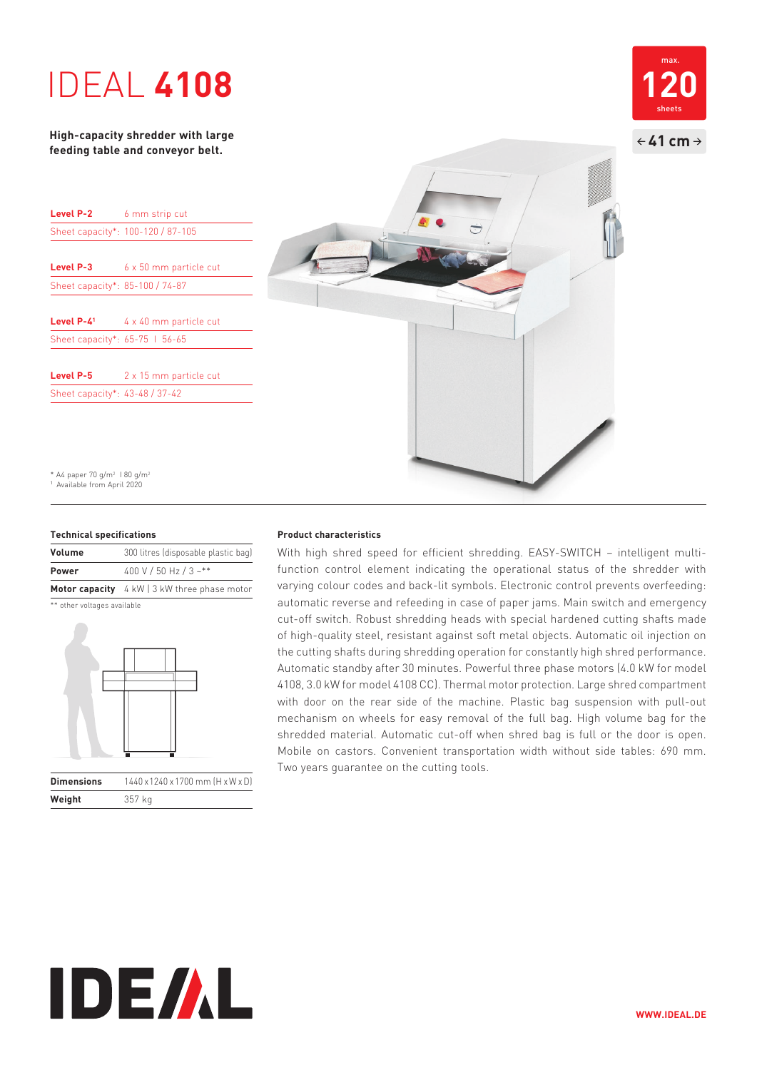## IDEAL **4108**

**High-capacity shredder with large feeding table and conveyor belt.**

| Level P-2                       | 6 mm strip cut                    |
|---------------------------------|-----------------------------------|
|                                 | Sheet capacity*: 100-120 / 87-105 |
|                                 |                                   |
| <b>Level P-3</b>                | 6 x 50 mm particle cut            |
| Sheet capacity*: 85-100 / 74-87 |                                   |
|                                 |                                   |
| Level P-41                      | 4 x 40 mm particle cut            |
| Sheet capacity*: 65-75 1 56-65  |                                   |
|                                 |                                   |
| Level P-5                       | 2 x 15 mm particle cut            |
| Sheet capacity*: 43-48 / 37-42  |                                   |

\* A4 paper 70 g/m<sup>2</sup> 1 80 g/m<sup>2</sup> 1 Available from April 2020

#### **Technical specifications**

| <b>Volume</b> | 300 litres (disposable plastic bag)          |
|---------------|----------------------------------------------|
| <b>Power</b>  | 400 V / 50 Hz / 3 ~**                        |
|               | Motor capacity 4 kW   3 kW three phase motor |

\*\* other voltages available

**Weight** 357 kg



**Product characteristics**

With high shred speed for efficient shredding. EASY-SWITCH – intelligent multifunction control element indicating the operational status of the shredder with varying colour codes and back-lit symbols. Electronic control prevents overfeeding: automatic reverse and refeeding in case of paper jams. Main switch and emergency cut-off switch. Robust shredding heads with special hardened cutting shafts made of high-quality steel, resistant against soft metal objects. Automatic oil injection on the cutting shafts during shredding operation for constantly high shred performance. Automatic standby after 30 minutes. Powerful three phase motors (4.0 kW for model 4108, 3.0 kW for model 4108 CC). Thermal motor protection. Large shred compartment with door on the rear side of the machine. Plastic bag suspension with pull-out mechanism on wheels for easy removal of the full bag. High volume bag for the shredded material. Automatic cut-off when shred bag is full or the door is open. Mobile on castors. Convenient transportation width without side tables: 690 mm. Two years guarantee on the cutting tools.